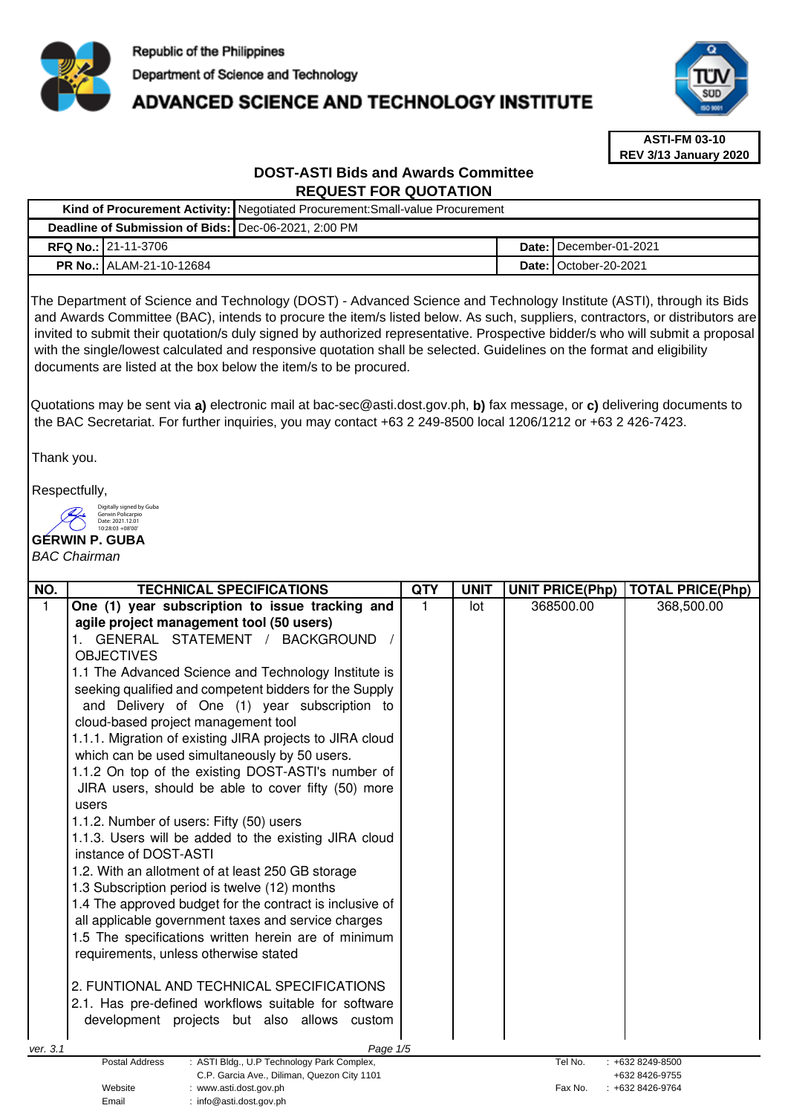

# **ADVANCED SCIENCE AND TECHNOLOGY INSTITUTE**



**ASTI-FM 03-10 REV 3/13 January 2020**

## **DOST-ASTI Bids and Awards Committee REQUEST FOR QUOTATION**

|                                                        |                                 | Kind of Procurement Activity:   Negotiated Procurement: Small-value Procurement |  |                                 |
|--------------------------------------------------------|---------------------------------|---------------------------------------------------------------------------------|--|---------------------------------|
| Deadline of Submission of Bids:   Dec-06-2021, 2:00 PM |                                 |                                                                                 |  |                                 |
|                                                        | <b>RFQ No.: 21-11-3706</b>      |                                                                                 |  | <b>Date: I</b> December-01-2021 |
|                                                        | <b>PR No.: ALAM-21-10-12684</b> |                                                                                 |  | Date: I October-20-2021         |

The Department of Science and Technology (DOST) - Advanced Science and Technology Institute (ASTI), through its Bids and Awards Committee (BAC), intends to procure the item/s listed below. As such, suppliers, contractors, or distributors are invited to submit their quotation/s duly signed by authorized representative. Prospective bidder/s who will submit a proposal with the single/lowest calculated and responsive quotation shall be selected. Guidelines on the format and eligibility documents are listed at the box below the item/s to be procured.

Quotations may be sent via **a)** electronic mail at bac-sec@asti.dost.gov.ph, **b)** fax message, or **c)** delivering documents to the BAC Secretariat. For further inquiries, you may contact +63 2 249-8500 local 1206/1212 or +63 2 426-7423.

Thank you.

Respectfully,

Digitally signed by Guba Gerwin Policarpio  $\left( \begin{array}{c} \end{array} \right)$ Date: 2021.12.01 10:28:03 +08'00'

Email : info@asti.dost.gov.ph

# **GERWIN P. GUBA**

### BAC Chairman

| NO.      | <b>TECHNICAL SPECIFICATIONS</b>                                                 | <b>QTY</b> | <b>UNIT</b> | <b>UNIT PRICE(Php)</b> | <b>TOTAL PRICE(Php)</b> |
|----------|---------------------------------------------------------------------------------|------------|-------------|------------------------|-------------------------|
| 1        | One (1) year subscription to issue tracking and                                 |            | lot         | 368500.00              | 368,500.00              |
|          | agile project management tool (50 users)                                        |            |             |                        |                         |
|          | GENERAL STATEMENT / BACKGROUND                                                  |            |             |                        |                         |
|          | <b>OBJECTIVES</b>                                                               |            |             |                        |                         |
|          | 1.1 The Advanced Science and Technology Institute is                            |            |             |                        |                         |
|          | seeking qualified and competent bidders for the Supply                          |            |             |                        |                         |
|          | and Delivery of One (1) year subscription to                                    |            |             |                        |                         |
|          | cloud-based project management tool                                             |            |             |                        |                         |
|          | 1.1.1. Migration of existing JIRA projects to JIRA cloud                        |            |             |                        |                         |
|          | which can be used simultaneously by 50 users.                                   |            |             |                        |                         |
|          | 1.1.2 On top of the existing DOST-ASTI's number of                              |            |             |                        |                         |
|          | JIRA users, should be able to cover fifty (50) more                             |            |             |                        |                         |
|          | users                                                                           |            |             |                        |                         |
|          | 1.1.2. Number of users: Fifty (50) users                                        |            |             |                        |                         |
|          | 1.1.3. Users will be added to the existing JIRA cloud                           |            |             |                        |                         |
|          | instance of DOST-ASTI                                                           |            |             |                        |                         |
|          | 1.2. With an allotment of at least 250 GB storage                               |            |             |                        |                         |
|          | 1.3 Subscription period is twelve (12) months                                   |            |             |                        |                         |
|          | 1.4 The approved budget for the contract is inclusive of                        |            |             |                        |                         |
|          | all applicable government taxes and service charges                             |            |             |                        |                         |
|          | 1.5 The specifications written herein are of minimum                            |            |             |                        |                         |
|          | requirements, unless otherwise stated                                           |            |             |                        |                         |
|          |                                                                                 |            |             |                        |                         |
|          | 2. FUNTIONAL AND TECHNICAL SPECIFICATIONS                                       |            |             |                        |                         |
|          | 2.1. Has pre-defined workflows suitable for software                            |            |             |                        |                         |
|          | development projects but also allows custom                                     |            |             |                        |                         |
|          |                                                                                 |            |             |                        |                         |
| ver. 3.1 | Page 1/5<br><b>Postal Address</b><br>: ASTI Bldg., U.P Technology Park Complex, |            |             | Tel No.                | +632 8249-8500          |
|          | C.P. Garcia Ave., Diliman, Quezon City 1101                                     |            |             |                        | +632 8426-9755          |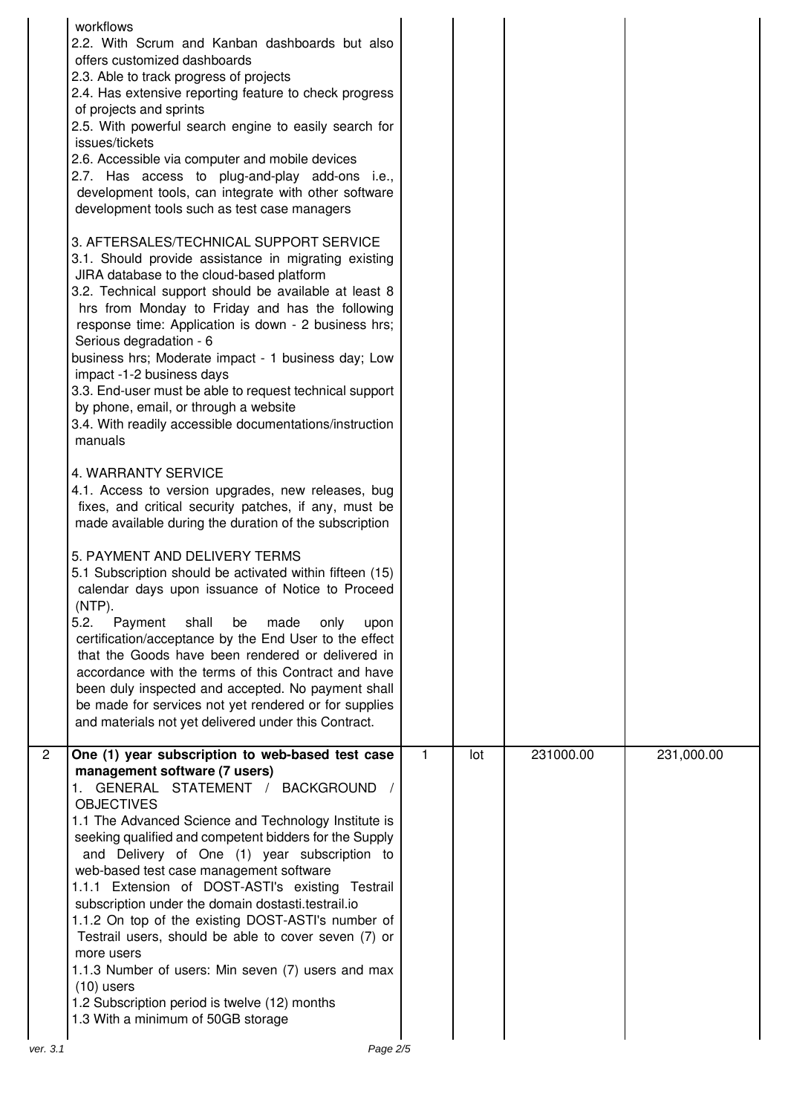|                | workflows<br>2.2. With Scrum and Kanban dashboards but also<br>offers customized dashboards<br>2.3. Able to track progress of projects<br>2.4. Has extensive reporting feature to check progress<br>of projects and sprints<br>2.5. With powerful search engine to easily search for<br>issues/tickets<br>2.6. Accessible via computer and mobile devices<br>2.7. Has access to plug-and-play add-ons i.e.,<br>development tools, can integrate with other software<br>development tools such as test case managers<br>3. AFTERSALES/TECHNICAL SUPPORT SERVICE<br>3.1. Should provide assistance in migrating existing<br>JIRA database to the cloud-based platform<br>3.2. Technical support should be available at least 8<br>hrs from Monday to Friday and has the following<br>response time: Application is down - 2 business hrs;<br>Serious degradation - 6<br>business hrs; Moderate impact - 1 business day; Low<br>impact -1-2 business days<br>3.3. End-user must be able to request technical support<br>by phone, email, or through a website<br>3.4. With readily accessible documentations/instruction<br>manuals<br>4. WARRANTY SERVICE<br>4.1. Access to version upgrades, new releases, bug<br>fixes, and critical security patches, if any, must be<br>made available during the duration of the subscription<br>5. PAYMENT AND DELIVERY TERMS<br>5.1 Subscription should be activated within fifteen (15)<br>calendar days upon issuance of Notice to Proceed<br>$(NTP)$ .<br>5.2.<br>shall<br>Payment<br>made<br>only<br>be<br>upon<br>certification/acceptance by the End User to the effect<br>that the Goods have been rendered or delivered in<br>accordance with the terms of this Contract and have<br>been duly inspected and accepted. No payment shall<br>be made for services not yet rendered or for supplies<br>and materials not yet delivered under this Contract. |              |     |           |            |
|----------------|-------------------------------------------------------------------------------------------------------------------------------------------------------------------------------------------------------------------------------------------------------------------------------------------------------------------------------------------------------------------------------------------------------------------------------------------------------------------------------------------------------------------------------------------------------------------------------------------------------------------------------------------------------------------------------------------------------------------------------------------------------------------------------------------------------------------------------------------------------------------------------------------------------------------------------------------------------------------------------------------------------------------------------------------------------------------------------------------------------------------------------------------------------------------------------------------------------------------------------------------------------------------------------------------------------------------------------------------------------------------------------------------------------------------------------------------------------------------------------------------------------------------------------------------------------------------------------------------------------------------------------------------------------------------------------------------------------------------------------------------------------------------------------------------------------------------------------------------------------------------------------------------------------|--------------|-----|-----------|------------|
| $\overline{2}$ | One (1) year subscription to web-based test case<br>management software (7 users)<br>1. GENERAL STATEMENT / BACKGROUND /<br><b>OBJECTIVES</b><br>1.1 The Advanced Science and Technology Institute is<br>seeking qualified and competent bidders for the Supply<br>and Delivery of One (1) year subscription to<br>web-based test case management software<br>1.1.1 Extension of DOST-ASTI's existing Testrail<br>subscription under the domain dostasti.testrail.io<br>1.1.2 On top of the existing DOST-ASTI's number of<br>Testrail users, should be able to cover seven (7) or<br>more users<br>1.1.3 Number of users: Min seven (7) users and max<br>$(10)$ users<br>1.2 Subscription period is twelve (12) months<br>1.3 With a minimum of 50GB storage                                                                                                                                                                                                                                                                                                                                                                                                                                                                                                                                                                                                                                                                                                                                                                                                                                                                                                                                                                                                                                                                                                                                         | $\mathbf{1}$ | lot | 231000.00 | 231,000.00 |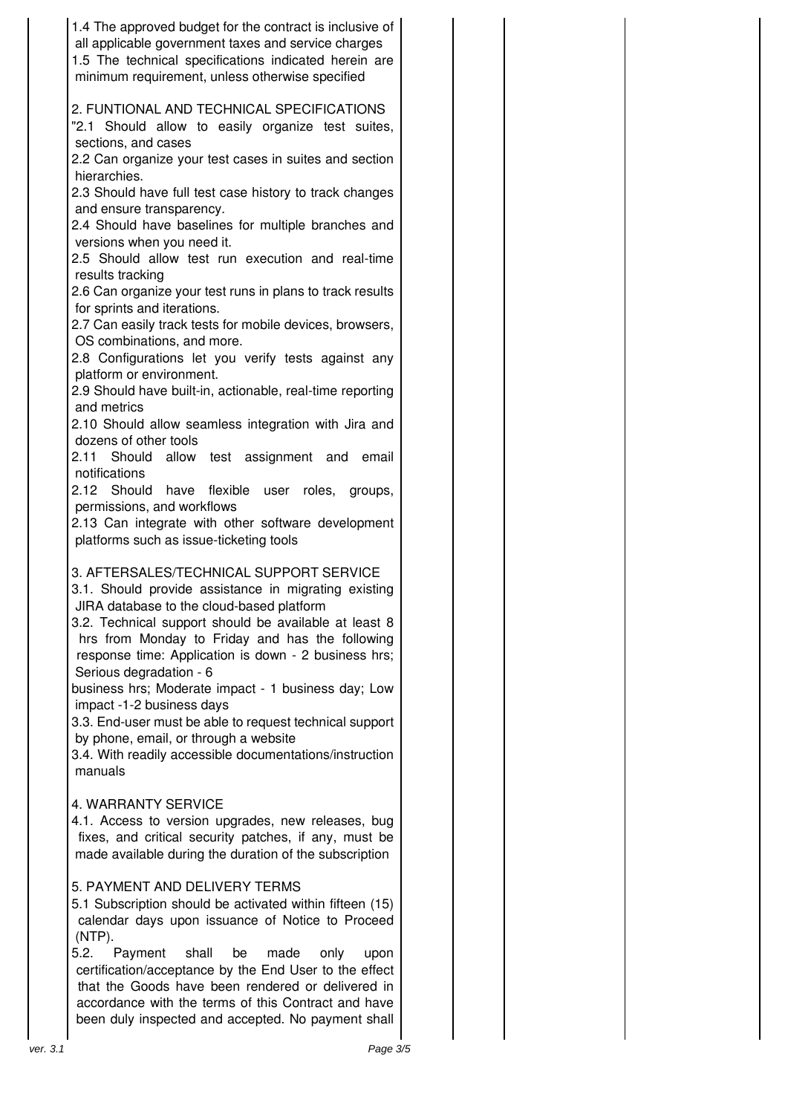| 1.4 The approved budget for the contract is inclusive of<br>all applicable government taxes and service charges<br>1.5 The technical specifications indicated herein are<br>minimum requirement, unless otherwise specified                                                                                                                                                                                                                                                                                                                                                                               |  |
|-----------------------------------------------------------------------------------------------------------------------------------------------------------------------------------------------------------------------------------------------------------------------------------------------------------------------------------------------------------------------------------------------------------------------------------------------------------------------------------------------------------------------------------------------------------------------------------------------------------|--|
| 2. FUNTIONAL AND TECHNICAL SPECIFICATIONS<br>"2.1 Should allow to easily organize test suites,<br>sections, and cases                                                                                                                                                                                                                                                                                                                                                                                                                                                                                     |  |
| 2.2 Can organize your test cases in suites and section<br>hierarchies.                                                                                                                                                                                                                                                                                                                                                                                                                                                                                                                                    |  |
| 2.3 Should have full test case history to track changes<br>and ensure transparency.                                                                                                                                                                                                                                                                                                                                                                                                                                                                                                                       |  |
| 2.4 Should have baselines for multiple branches and<br>versions when you need it.                                                                                                                                                                                                                                                                                                                                                                                                                                                                                                                         |  |
| 2.5 Should allow test run execution and real-time                                                                                                                                                                                                                                                                                                                                                                                                                                                                                                                                                         |  |
| results tracking<br>2.6 Can organize your test runs in plans to track results                                                                                                                                                                                                                                                                                                                                                                                                                                                                                                                             |  |
| for sprints and iterations.<br>2.7 Can easily track tests for mobile devices, browsers,                                                                                                                                                                                                                                                                                                                                                                                                                                                                                                                   |  |
| OS combinations, and more.<br>2.8 Configurations let you verify tests against any                                                                                                                                                                                                                                                                                                                                                                                                                                                                                                                         |  |
| platform or environment.                                                                                                                                                                                                                                                                                                                                                                                                                                                                                                                                                                                  |  |
| 2.9 Should have built-in, actionable, real-time reporting<br>and metrics                                                                                                                                                                                                                                                                                                                                                                                                                                                                                                                                  |  |
| 2.10 Should allow seamless integration with Jira and<br>dozens of other tools                                                                                                                                                                                                                                                                                                                                                                                                                                                                                                                             |  |
| allow test assignment and<br>2.11 Should<br>email<br>notifications                                                                                                                                                                                                                                                                                                                                                                                                                                                                                                                                        |  |
| 2.12 Should have<br>flexible<br>user roles, groups,                                                                                                                                                                                                                                                                                                                                                                                                                                                                                                                                                       |  |
| permissions, and workflows<br>2.13 Can integrate with other software development<br>platforms such as issue-ticketing tools                                                                                                                                                                                                                                                                                                                                                                                                                                                                               |  |
| 3. AFTERSALES/TECHNICAL SUPPORT SERVICE<br>3.1. Should provide assistance in migrating existing<br>JIRA database to the cloud-based platform<br>3.2. Technical support should be available at least 8<br>hrs from Monday to Friday and has the following<br>response time: Application is down - 2 business hrs;<br>Serious degradation - 6<br>business hrs; Moderate impact - 1 business day; Low<br>impact -1-2 business days<br>3.3. End-user must be able to request technical support<br>by phone, email, or through a website<br>3.4. With readily accessible documentations/instruction<br>manuals |  |
| 4. WARRANTY SERVICE                                                                                                                                                                                                                                                                                                                                                                                                                                                                                                                                                                                       |  |
| 4.1. Access to version upgrades, new releases, bug<br>fixes, and critical security patches, if any, must be<br>made available during the duration of the subscription                                                                                                                                                                                                                                                                                                                                                                                                                                     |  |
| 5. PAYMENT AND DELIVERY TERMS<br>5.1 Subscription should be activated within fifteen (15)<br>calendar days upon issuance of Notice to Proceed<br>$(NTP)$ .                                                                                                                                                                                                                                                                                                                                                                                                                                                |  |
| 5.2.<br>Payment<br>shall<br>be<br>made<br>only<br>upon<br>certification/acceptance by the End User to the effect<br>that the Goods have been rendered or delivered in<br>accordance with the terms of this Contract and have<br>been duly inspected and accepted. No payment shall                                                                                                                                                                                                                                                                                                                        |  |
| Page 3/5<br>ver. 3.1                                                                                                                                                                                                                                                                                                                                                                                                                                                                                                                                                                                      |  |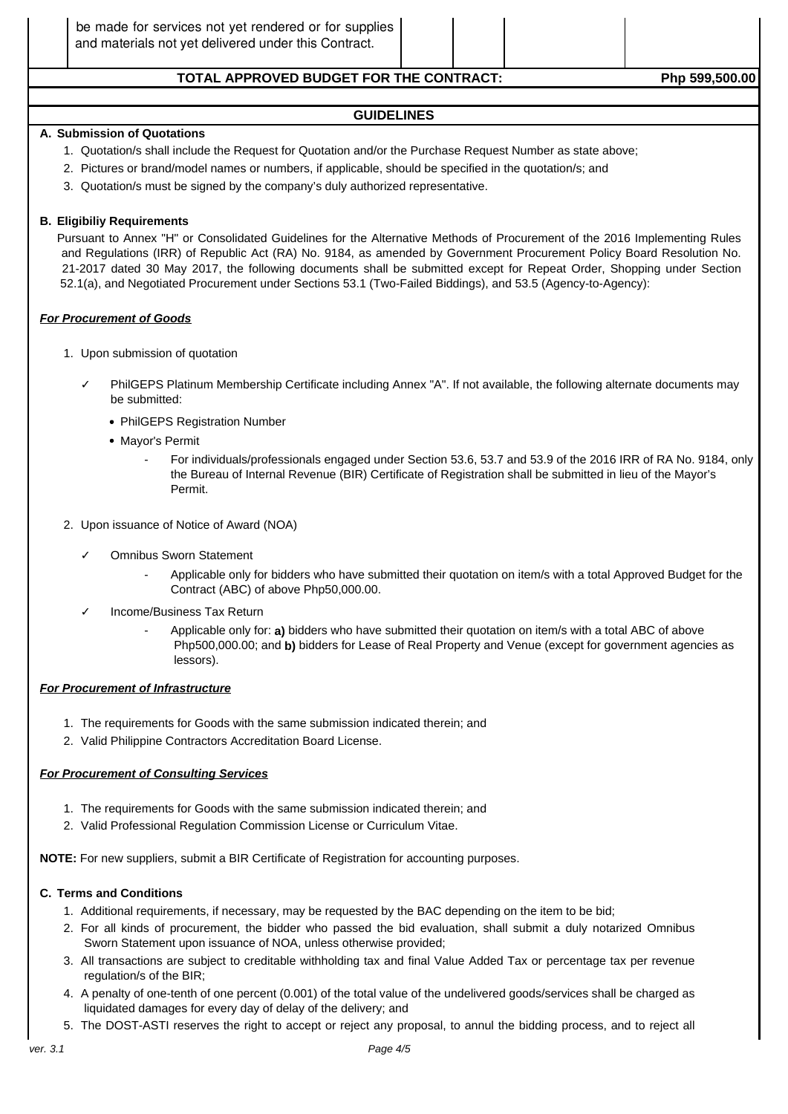### TOTAL APPROVED BUDGET FOR THE CONTRACT: Php 599,500.00

#### **GUIDELINES**

#### **A. Submission of Quotations**

- 1. Quotation/s shall include the Request for Quotation and/or the Purchase Request Number as state above;
- 2. Pictures or brand/model names or numbers, if applicable, should be specified in the quotation/s; and
- 3. Quotation/s must be signed by the company's duly authorized representative.

#### **B. Eligibiliy Requirements**

Pursuant to Annex "H" or Consolidated Guidelines for the Alternative Methods of Procurement of the 2016 Implementing Rules and Regulations (IRR) of Republic Act (RA) No. 9184, as amended by Government Procurement Policy Board Resolution No. 21-2017 dated 30 May 2017, the following documents shall be submitted except for Repeat Order, Shopping under Section 52.1(a), and Negotiated Procurement under Sections 53.1 (Two-Failed Biddings), and 53.5 (Agency-to-Agency):

#### **For Procurement of Goods**

- 1. Upon submission of quotation
	- PhilGEPS Platinum Membership Certificate including Annex "A". If not available, the following alternate documents may be submitted:
		- PhilGEPS Registration Number
		- Mayor's Permit
			- For individuals/professionals engaged under Section 53.6, 53.7 and 53.9 of the 2016 IRR of RA No. 9184, only the Bureau of Internal Revenue (BIR) Certificate of Registration shall be submitted in lieu of the Mayor's Permit.
- 2. Upon issuance of Notice of Award (NOA)
	- Omnibus Sworn Statement
		- Applicable only for bidders who have submitted their quotation on item/s with a total Approved Budget for the Contract (ABC) of above Php50,000.00.
	- Income/Business Tax Return
		- Applicable only for: **a)** bidders who have submitted their quotation on item/s with a total ABC of above Php500,000.00; and **b)** bidders for Lease of Real Property and Venue (except for government agencies as lessors).

#### **For Procurement of Infrastructure**

- 1. The requirements for Goods with the same submission indicated therein; and
- 2. Valid Philippine Contractors Accreditation Board License.

#### **For Procurement of Consulting Services**

- 1. The requirements for Goods with the same submission indicated therein; and
- 2. Valid Professional Regulation Commission License or Curriculum Vitae.

**NOTE:** For new suppliers, submit a BIR Certificate of Registration for accounting purposes.

#### **C. Terms and Conditions**

- 1. Additional requirements, if necessary, may be requested by the BAC depending on the item to be bid;
- 2. For all kinds of procurement, the bidder who passed the bid evaluation, shall submit a duly notarized Omnibus Sworn Statement upon issuance of NOA, unless otherwise provided;
- 3. All transactions are subject to creditable withholding tax and final Value Added Tax or percentage tax per revenue regulation/s of the BIR;
- 4. A penalty of one-tenth of one percent (0.001) of the total value of the undelivered goods/services shall be charged as liquidated damages for every day of delay of the delivery; and
- 5. The DOST-ASTI reserves the right to accept or reject any proposal, to annul the bidding process, and to reject all